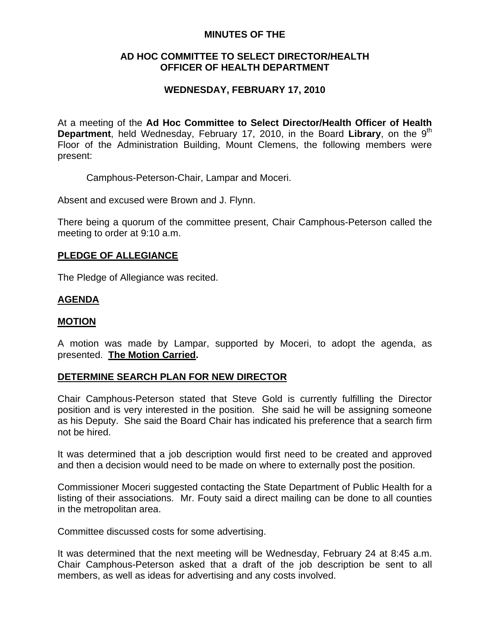## **MINUTES OF THE**

## **AD HOC COMMITTEE TO SELECT DIRECTOR/HEALTH OFFICER OF HEALTH DEPARTMENT**

# **WEDNESDAY, FEBRUARY 17, 2010**

At a meeting of the **Ad Hoc Committee to Select Director/Health Officer of Health Department**, held Wednesday, February 17, 2010, in the Board Library, on the 9<sup>th</sup> Floor of the Administration Building, Mount Clemens, the following members were present:

Camphous-Peterson-Chair, Lampar and Moceri.

Absent and excused were Brown and J. Flynn.

There being a quorum of the committee present, Chair Camphous-Peterson called the meeting to order at 9:10 a.m.

## **PLEDGE OF ALLEGIANCE**

The Pledge of Allegiance was recited.

## **AGENDA**

### **MOTION**

A motion was made by Lampar, supported by Moceri, to adopt the agenda, as presented. **The Motion Carried.** 

## **DETERMINE SEARCH PLAN FOR NEW DIRECTOR**

Chair Camphous-Peterson stated that Steve Gold is currently fulfilling the Director position and is very interested in the position. She said he will be assigning someone as his Deputy. She said the Board Chair has indicated his preference that a search firm not be hired.

It was determined that a job description would first need to be created and approved and then a decision would need to be made on where to externally post the position.

Commissioner Moceri suggested contacting the State Department of Public Health for a listing of their associations. Mr. Fouty said a direct mailing can be done to all counties in the metropolitan area.

Committee discussed costs for some advertising.

It was determined that the next meeting will be Wednesday, February 24 at 8:45 a.m. Chair Camphous-Peterson asked that a draft of the job description be sent to all members, as well as ideas for advertising and any costs involved.